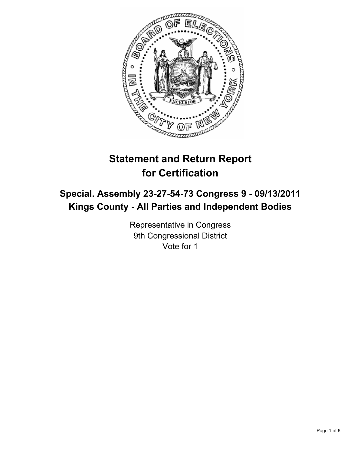

# **Statement and Return Report for Certification**

## **Special. Assembly 23-27-54-73 Congress 9 - 09/13/2011 Kings County - All Parties and Independent Bodies**

Representative in Congress 9th Congressional District Vote for 1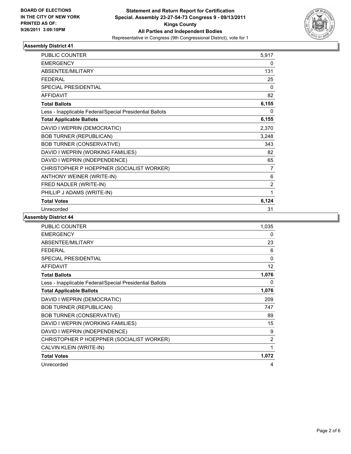

| <b>PUBLIC COUNTER</b>                                    | 5,917          |
|----------------------------------------------------------|----------------|
| <b>EMERGENCY</b>                                         | 0              |
| ABSENTEE/MILITARY                                        | 131            |
| <b>FEDERAL</b>                                           | 25             |
| <b>SPECIAL PRESIDENTIAL</b>                              | $\Omega$       |
| <b>AFFIDAVIT</b>                                         | 82             |
| <b>Total Ballots</b>                                     | 6,155          |
| Less - Inapplicable Federal/Special Presidential Ballots | 0              |
| <b>Total Applicable Ballots</b>                          | 6,155          |
| DAVID I WEPRIN (DEMOCRATIC)                              | 2,370          |
| <b>BOB TURNER (REPUBLICAN)</b>                           | 3,248          |
| <b>BOB TURNER (CONSERVATIVE)</b>                         | 343            |
| DAVID I WEPRIN (WORKING FAMILIES)                        | 82             |
| DAVID I WEPRIN (INDEPENDENCE)                            | 65             |
| CHRISTOPHER P HOEPPNER (SOCIALIST WORKER)                | 7              |
| ANTHONY WEINER (WRITE-IN)                                | 6              |
| FRED NADLER (WRITE-IN)                                   | $\overline{2}$ |
| PHILLIP J ADAMS (WRITE-IN)                               | 1              |
| <b>Total Votes</b>                                       | 6,124          |
| Unrecorded                                               | 31             |

| <b>PUBLIC COUNTER</b>                                    | 1,035 |
|----------------------------------------------------------|-------|
| <b>EMERGENCY</b>                                         | 0     |
| ABSENTEE/MILITARY                                        | 23    |
| <b>FEDERAL</b>                                           | 6     |
| SPECIAL PRESIDENTIAL                                     | 0     |
| <b>AFFIDAVIT</b>                                         | 12    |
| <b>Total Ballots</b>                                     | 1,076 |
| Less - Inapplicable Federal/Special Presidential Ballots | 0     |
| <b>Total Applicable Ballots</b>                          | 1,076 |
| DAVID I WEPRIN (DEMOCRATIC)                              | 209   |
| <b>BOB TURNER (REPUBLICAN)</b>                           | 747   |
| <b>BOB TURNER (CONSERVATIVE)</b>                         | 89    |
| DAVID I WEPRIN (WORKING FAMILIES)                        | 15    |
| DAVID I WEPRIN (INDEPENDENCE)                            | 9     |
| CHRISTOPHER P HOEPPNER (SOCIALIST WORKER)                | 2     |
| CALVIN KLEIN (WRITE-IN)                                  | 1     |
| <b>Total Votes</b>                                       | 1,072 |
| Unrecorded                                               | 4     |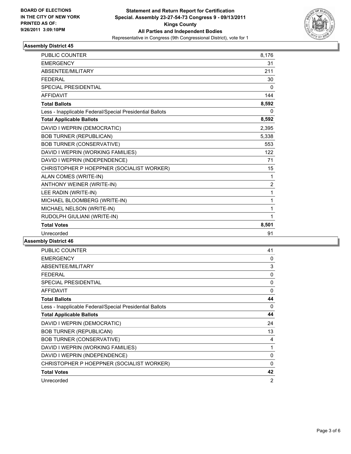

| <b>PUBLIC COUNTER</b>                                    | 8,176          |
|----------------------------------------------------------|----------------|
| <b>EMERGENCY</b>                                         | 31             |
| <b>ABSENTEE/MILITARY</b>                                 | 211            |
| <b>FEDERAL</b>                                           | 30             |
| <b>SPECIAL PRESIDENTIAL</b>                              | 0              |
| <b>AFFIDAVIT</b>                                         | 144            |
| <b>Total Ballots</b>                                     | 8,592          |
| Less - Inapplicable Federal/Special Presidential Ballots | 0              |
| <b>Total Applicable Ballots</b>                          | 8,592          |
| DAVID I WEPRIN (DEMOCRATIC)                              | 2,395          |
| <b>BOB TURNER (REPUBLICAN)</b>                           | 5,338          |
| <b>BOB TURNER (CONSERVATIVE)</b>                         | 553            |
| DAVID I WEPRIN (WORKING FAMILIES)                        | 122            |
| DAVID I WEPRIN (INDEPENDENCE)                            | 71             |
| CHRISTOPHER P HOEPPNER (SOCIALIST WORKER)                | 15             |
| ALAN COMES (WRITE-IN)                                    | 1              |
| ANTHONY WEINER (WRITE-IN)                                | $\overline{2}$ |
| LEE RADIN (WRITE-IN)                                     | 1              |
| MICHAEL BLOOMBERG (WRITE-IN)                             | 1              |
| MICHAEL NELSON (WRITE-IN)                                | 1              |
| RUDOLPH GIULIANI (WRITE-IN)                              | 1              |
| <b>Total Votes</b>                                       | 8,501          |
| Unrecorded                                               | 91             |

| <b>PUBLIC COUNTER</b>                                    | 41           |
|----------------------------------------------------------|--------------|
| <b>EMERGENCY</b>                                         | $\mathbf{0}$ |
| ABSENTEE/MILITARY                                        | 3            |
| <b>FEDERAL</b>                                           | 0            |
| <b>SPECIAL PRESIDENTIAL</b>                              | 0            |
| <b>AFFIDAVIT</b>                                         | $\Omega$     |
| <b>Total Ballots</b>                                     | 44           |
| Less - Inapplicable Federal/Special Presidential Ballots | 0            |
| <b>Total Applicable Ballots</b>                          | 44           |
| DAVID I WEPRIN (DEMOCRATIC)                              | 24           |
| <b>BOB TURNER (REPUBLICAN)</b>                           | 13           |
| <b>BOB TURNER (CONSERVATIVE)</b>                         | 4            |
| DAVID I WEPRIN (WORKING FAMILIES)                        | 1            |
| DAVID I WEPRIN (INDEPENDENCE)                            | 0            |
| CHRISTOPHER P HOEPPNER (SOCIALIST WORKER)                | $\Omega$     |
| <b>Total Votes</b>                                       | 42           |
| Unrecorded                                               | 2            |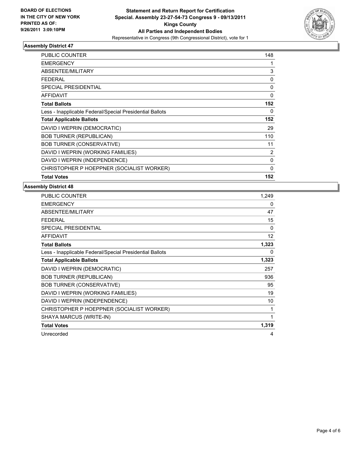

| <b>PUBLIC COUNTER</b>                                    | 148          |
|----------------------------------------------------------|--------------|
| EMERGENCY                                                | 1            |
| ABSENTEE/MILITARY                                        | 3            |
| <b>FEDERAL</b>                                           | 0            |
| <b>SPECIAL PRESIDENTIAL</b>                              | 0            |
| <b>AFFIDAVIT</b>                                         | $\Omega$     |
| <b>Total Ballots</b>                                     | 152          |
| Less - Inapplicable Federal/Special Presidential Ballots | 0            |
| <b>Total Applicable Ballots</b>                          | 152          |
| DAVID I WEPRIN (DEMOCRATIC)                              | 29           |
| <b>BOB TURNER (REPUBLICAN)</b>                           | 110          |
| <b>BOB TURNER (CONSERVATIVE)</b>                         | 11           |
| DAVID I WEPRIN (WORKING FAMILIES)                        | 2            |
| DAVID I WEPRIN (INDEPENDENCE)                            | $\Omega$     |
| CHRISTOPHER P HOEPPNER (SOCIALIST WORKER)                | $\mathbf{0}$ |
| <b>Total Votes</b>                                       | 152          |

| PUBLIC COUNTER                                           | 1,249    |
|----------------------------------------------------------|----------|
| <b>EMERGENCY</b>                                         | 0        |
| ABSENTEE/MILITARY                                        | 47       |
| <b>FEDERAL</b>                                           | 15       |
| SPECIAL PRESIDENTIAL                                     | $\Omega$ |
| <b>AFFIDAVIT</b>                                         | 12       |
| <b>Total Ballots</b>                                     | 1,323    |
| Less - Inapplicable Federal/Special Presidential Ballots | 0        |
| <b>Total Applicable Ballots</b>                          | 1,323    |
| DAVID I WEPRIN (DEMOCRATIC)                              | 257      |
| <b>BOB TURNER (REPUBLICAN)</b>                           | 936      |
| <b>BOB TURNER (CONSERVATIVE)</b>                         | 95       |
| DAVID I WEPRIN (WORKING FAMILIES)                        | 19       |
| DAVID I WEPRIN (INDEPENDENCE)                            | 10       |
| CHRISTOPHER P HOEPPNER (SOCIALIST WORKER)                | 1        |
| SHAYA MARCUS (WRITE-IN)                                  | 1        |
| <b>Total Votes</b>                                       | 1,319    |
| Unrecorded                                               | 4        |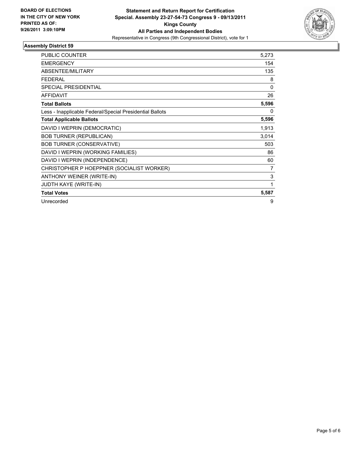

| <b>PUBLIC COUNTER</b>                                    | 5,273        |
|----------------------------------------------------------|--------------|
| <b>EMERGENCY</b>                                         | 154          |
| <b>ABSENTEE/MILITARY</b>                                 | 135          |
| <b>FEDERAL</b>                                           | 8            |
| <b>SPECIAL PRESIDENTIAL</b>                              | $\mathbf{0}$ |
| <b>AFFIDAVIT</b>                                         | 26           |
| <b>Total Ballots</b>                                     | 5,596        |
| Less - Inapplicable Federal/Special Presidential Ballots | 0            |
| <b>Total Applicable Ballots</b>                          | 5,596        |
| DAVID I WEPRIN (DEMOCRATIC)                              | 1,913        |
| <b>BOB TURNER (REPUBLICAN)</b>                           | 3,014        |
| <b>BOB TURNER (CONSERVATIVE)</b>                         | 503          |
| DAVID I WEPRIN (WORKING FAMILIES)                        | 86           |
| DAVID I WEPRIN (INDEPENDENCE)                            | 60           |
| CHRISTOPHER P HOEPPNER (SOCIALIST WORKER)                | 7            |
| ANTHONY WEINER (WRITE-IN)                                | 3            |
| <b>JUDTH KAYE (WRITE-IN)</b>                             | 1            |
| <b>Total Votes</b>                                       | 5,587        |
| Unrecorded                                               | 9            |